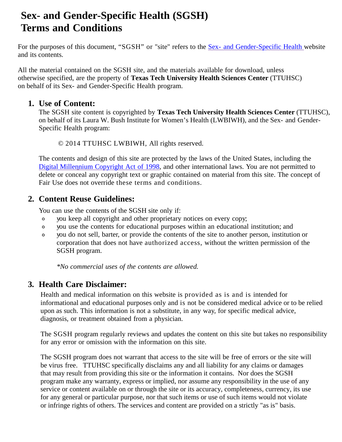# **Sex- and Gender-Specific Health (SGSH) Terms and Conditions**

For the purposes of this document, "SGSH" or "site" refers to the Sex- and [Gender-Specific](http://www.sexandgenderhealth.org/index.html) Health website and its contents.

All the material contained on the SGSH site, and the materials available for download, unless otherwise specified, are the property of **Texas Tech University Health Sciences Center** (TTUHSC) on behalf of its Sex- and Gender-Specific Health program.

### **1. Use of Content:**

The SGSH site content is copyrighted by **Texas Tech University Health Sciences Center** (TTUHSC), on behalf of its Laura W. Bush Institute for Women's Health (LWBIWH), and the Sex- and Gender-Specific Health program:

© 2014 TTUHSC LWBIWH, All rights reserved.

The contents and design of this site are protected by the laws of the United States, including the Digital [Millennium](http://www.copyright.gov/legislation/dmca.pdf) Copyright Act of 1998, and other international laws. You are not permitted to delete or conceal any copyright text or graphic contained on material from this site. The concept of Fair Use does not override these terms and conditions.

# **2. Content Reuse Guidelines:**

You can use the contents of the SGSH site only if:

- you keep all copyright and other proprietary notices on every copy;  $\circ$
- $\circ$ you use the contents for educational purposes within an educational institution; and
- you do not sell, barter, or provide the contents of the site to another person, institution or  $\circ$ corporation that does not have authorized access, without the written permission of the SGSH program.

*\*No commercial uses of the contents are allowed.*

# **3. Health Care Disclaimer:**

Health and medical information on this website is provided as is and is intended for informational and educational purposes only and is not be considered medical advice or to be relied upon as such. This information is not a substitute, in any way, for specific medical advice, diagnosis, or treatment obtained from a physician.

The SGSH program regularly reviews and updates the content on this site but takes no responsibility for any error or omission with the information on this site.

The SGSH program does not warrant that access to the site will be free of errors or the site will be virus free. TTUHSC specifically disclaims any and all liability for any claims or damages that may result from providing this site or the information it contains. Nor does the SGSH program make any warranty, express or implied, nor assume any responsibility in the use of any service or content available on or through the site or its accuracy, completeness, currency, its use for any general or particular purpose, nor that such items or use of such items would not violate or infringe rights of others. The services and content are provided on a strictly "as is" basis.